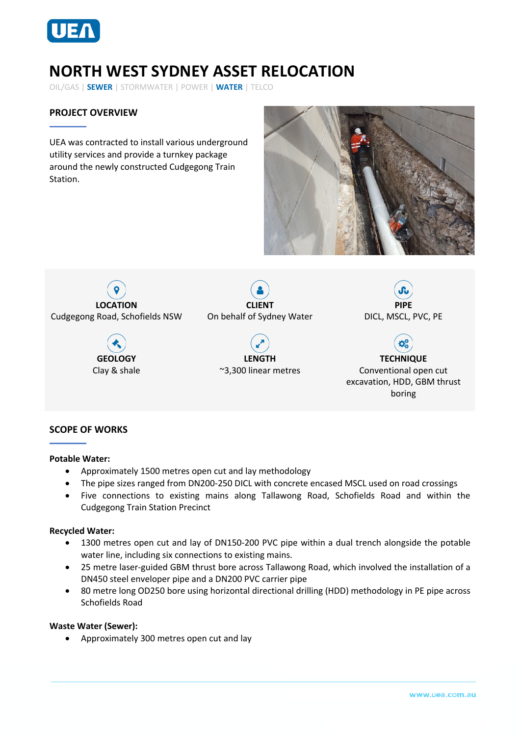

# **NORTH WEST SYDNEY ASSET RELOCATION**

OIL/GAS | **SEWER** | STORMWATER | POWER | **WATER** | TELCO

# **PROJECT OVERVIEW**

UEA was contracted to install various underground utility services and provide a turnkey package around the newly constructed Cudgegong Train Station.





#### **SCOPE OF WORKS**

#### **Potable Water:**

- Approximately 1500 metres open cut and lay methodology
- The pipe sizes ranged from DN200-250 DICL with concrete encased MSCL used on road crossings
- Five connections to existing mains along Tallawong Road, Schofields Road and within the Cudgegong Train Station Precinct

#### **Recycled Water:**

- 1300 metres open cut and lay of DN150-200 PVC pipe within a dual trench alongside the potable water line, including six connections to existing mains.
- 25 metre laser-guided GBM thrust bore across Tallawong Road, which involved the installation of a DN450 steel enveloper pipe and a DN200 PVC carrier pipe
- 80 metre long OD250 bore using horizontal directional drilling (HDD) methodology in PE pipe across Schofields Road

#### **Waste Water (Sewer):**

• Approximately 300 metres open cut and lay